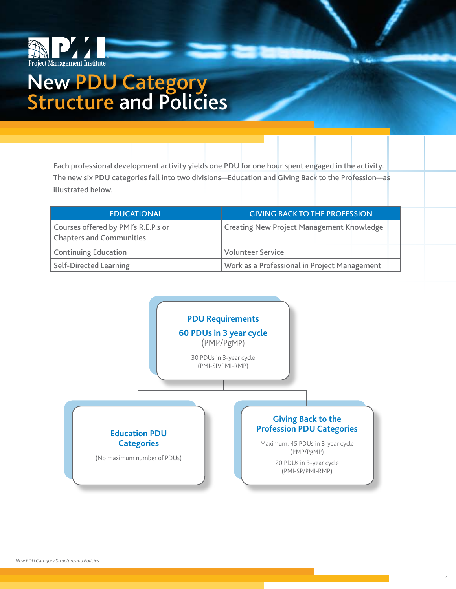

# New PDU Category<br>Structure and Policies

Each professional development activity yields one PDU for one hour spent engaged in the activity. The new six PDU categories fall into two divisions—Education and Giving Back to the Profession—as illustrated below.

| <b>EDUCATIONAL</b>                                                     | <b>GIVING BACK TO THE PROFESSION</b>             |
|------------------------------------------------------------------------|--------------------------------------------------|
| Courses offered by PMI's R.E.P.s or<br><b>Chapters and Communities</b> | <b>Creating New Project Management Knowledge</b> |
| <b>Continuing Education</b>                                            | <b>Volunteer Service</b>                         |
| <b>Self-Directed Learning</b>                                          | Work as a Professional in Project Management     |



1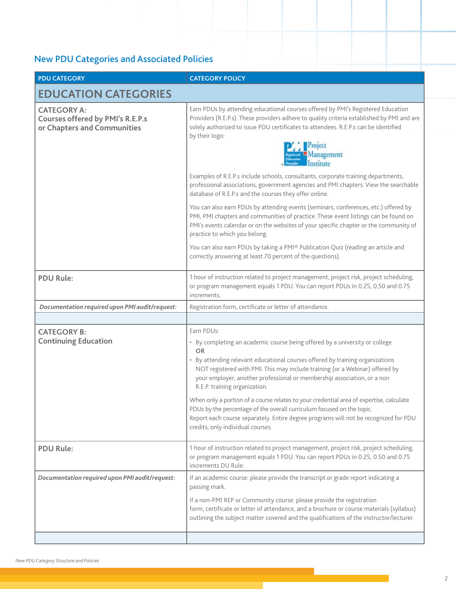| <b>PDU CATEGORY</b>                                                                          | <b>CATEGORY POLICY</b>                                                                                                                                                                                                                                                                                                                                                                                                                                                                                                                                                                                                                                                                |  |  |
|----------------------------------------------------------------------------------------------|---------------------------------------------------------------------------------------------------------------------------------------------------------------------------------------------------------------------------------------------------------------------------------------------------------------------------------------------------------------------------------------------------------------------------------------------------------------------------------------------------------------------------------------------------------------------------------------------------------------------------------------------------------------------------------------|--|--|
| <b>EDUCATION CATEGORIES</b>                                                                  |                                                                                                                                                                                                                                                                                                                                                                                                                                                                                                                                                                                                                                                                                       |  |  |
| <b>CATEGORY A:</b><br><b>Courses offered by PMI's R.E.P.s</b><br>or Chapters and Communities | Earn PDUs by attending educational courses offered by PMI's Registered Education<br>Providers (R.E.P.s). These providers adhere to quality criteria established by PMI and are<br>solely authorized to issue PDU certificates to attendees. R.E.P.s can be identified<br>by their logo:<br>Project<br>Management                                                                                                                                                                                                                                                                                                                                                                      |  |  |
|                                                                                              | Examples of R.E.P.s include schools, consultants, corporate training departments,<br>professional associations, government agencies and PMI chapters. View the searchable<br>database of R.E.P.s and the courses they offer online.                                                                                                                                                                                                                                                                                                                                                                                                                                                   |  |  |
|                                                                                              | You can also earn PDUs by attending events (seminars, conferences, etc.) offered by<br>PMI, PMI chapters and communities of practice. These event listings can be found on<br>PMI's events calendar or on the websites of your specific chapter or the community of<br>practice to which you belong.                                                                                                                                                                                                                                                                                                                                                                                  |  |  |
|                                                                                              | You can also earn PDUs by taking a PMI® Publication Quiz (reading an article and<br>correctly answering at least 70 percent of the questions).                                                                                                                                                                                                                                                                                                                                                                                                                                                                                                                                        |  |  |
| <b>PDU Rule:</b>                                                                             | 1 hour of instruction related to project management, project risk, project scheduling,<br>or program management equals 1 PDU. You can report PDUs in 0.25, 0.50 and 0.75<br>increments.                                                                                                                                                                                                                                                                                                                                                                                                                                                                                               |  |  |
| Documentation required upon PMI audit/request:                                               | Registration form, certificate or letter of attendance.                                                                                                                                                                                                                                                                                                                                                                                                                                                                                                                                                                                                                               |  |  |
|                                                                                              |                                                                                                                                                                                                                                                                                                                                                                                                                                                                                                                                                                                                                                                                                       |  |  |
| <b>CATEGORY B:</b><br><b>Continuing Education</b>                                            | Earn PDUs:<br>• By completing an academic course being offered by a university or college<br><b>OR</b><br>• By attending relevant educational courses offered by training organizations<br>NOT registered with PMI. This may include training (or a Webinar) offered by<br>your employer, another professional or membership association, or a non<br>R.E.P. training organization.<br>When only a portion of a course relates to your credential area of expertise, calculate<br>PDUs by the percentage of the overall curriculum focused on the topic.<br>Report each course separately. Entire degree programs will not be recognized for PDU<br>credits, only individual courses. |  |  |
| <b>PDU Rule:</b>                                                                             | 1 hour of instruction related to project management, project risk, project scheduling,<br>or program management equals 1 PDU. You can report PDUs in 0.25, 0.50 and 0.75<br>increments DU Rule:                                                                                                                                                                                                                                                                                                                                                                                                                                                                                       |  |  |
| Documentation required upon PMI audit/request:                                               | If an academic course: please provide the transcript or grade report indicating a<br>passing mark.<br>If a non-PMI REP or Community course: please provide the registration<br>form, certificate or letter of attendance, and a brochure or course materials (syllabus)<br>outlining the subject matter covered and the qualifications of the instructor/lecturer.                                                                                                                                                                                                                                                                                                                    |  |  |
|                                                                                              |                                                                                                                                                                                                                                                                                                                                                                                                                                                                                                                                                                                                                                                                                       |  |  |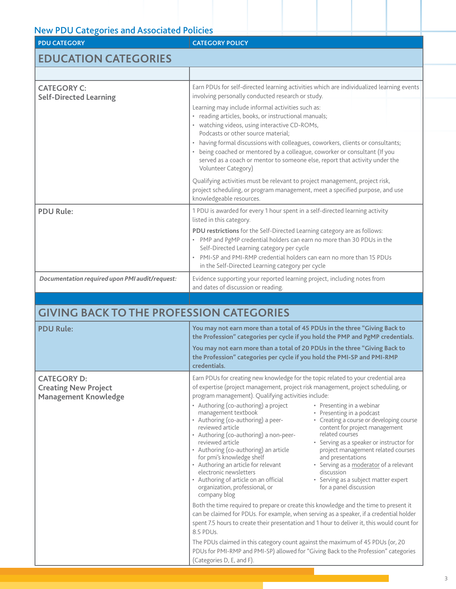| <b>PDU CATEGORY</b>                                                              | <b>CATEGORY POLICY</b>                                                                                                                                                                                                                                                                                                                                                                                                                                                                                                                                                                                                                                                                                                                                                                                                                                                                                                                                                                                                                                                                                                                       |  |  |
|----------------------------------------------------------------------------------|----------------------------------------------------------------------------------------------------------------------------------------------------------------------------------------------------------------------------------------------------------------------------------------------------------------------------------------------------------------------------------------------------------------------------------------------------------------------------------------------------------------------------------------------------------------------------------------------------------------------------------------------------------------------------------------------------------------------------------------------------------------------------------------------------------------------------------------------------------------------------------------------------------------------------------------------------------------------------------------------------------------------------------------------------------------------------------------------------------------------------------------------|--|--|
| <b>EDUCATION CATEGORIES</b>                                                      |                                                                                                                                                                                                                                                                                                                                                                                                                                                                                                                                                                                                                                                                                                                                                                                                                                                                                                                                                                                                                                                                                                                                              |  |  |
|                                                                                  |                                                                                                                                                                                                                                                                                                                                                                                                                                                                                                                                                                                                                                                                                                                                                                                                                                                                                                                                                                                                                                                                                                                                              |  |  |
| <b>CATEGORY C:</b><br><b>Self-Directed Learning</b>                              | Earn PDUs for self-directed learning activities which are individualized learning events<br>involving personally conducted research or study.                                                                                                                                                                                                                                                                                                                                                                                                                                                                                                                                                                                                                                                                                                                                                                                                                                                                                                                                                                                                |  |  |
|                                                                                  | Learning may include informal activities such as:<br>• reading articles, books, or instructional manuals;<br>• watching videos, using interactive CD-ROMs,<br>Podcasts or other source material:<br>• having formal discussions with colleagues, coworkers, clients or consultants;<br>• being coached or mentored by a colleague, coworker or consultant (If you<br>served as a coach or mentor to someone else, report that activity under the<br>Volunteer Category)                                                                                                                                                                                                                                                                                                                                                                                                                                                                                                                                                                                                                                                                      |  |  |
|                                                                                  | Qualifying activities must be relevant to project management, project risk,<br>project scheduling, or program management, meet a specified purpose, and use<br>knowledgeable resources.                                                                                                                                                                                                                                                                                                                                                                                                                                                                                                                                                                                                                                                                                                                                                                                                                                                                                                                                                      |  |  |
| <b>PDU Rule:</b>                                                                 | 1 PDU is awarded for every 1 hour spent in a self-directed learning activity<br>listed in this category.                                                                                                                                                                                                                                                                                                                                                                                                                                                                                                                                                                                                                                                                                                                                                                                                                                                                                                                                                                                                                                     |  |  |
|                                                                                  | PDU restrictions for the Self-Directed Learning category are as follows:<br>• PMP and PgMP credential holders can earn no more than 30 PDUs in the<br>Self-Directed Learning category per cycle<br>PMI-SP and PMI-RMP credential holders can earn no more than 15 PDUs<br>in the Self-Directed Learning category per cycle                                                                                                                                                                                                                                                                                                                                                                                                                                                                                                                                                                                                                                                                                                                                                                                                                   |  |  |
| Documentation required upon PMI audit/request:                                   | Evidence supporting your reported learning project, including notes from<br>and dates of discussion or reading.                                                                                                                                                                                                                                                                                                                                                                                                                                                                                                                                                                                                                                                                                                                                                                                                                                                                                                                                                                                                                              |  |  |
|                                                                                  |                                                                                                                                                                                                                                                                                                                                                                                                                                                                                                                                                                                                                                                                                                                                                                                                                                                                                                                                                                                                                                                                                                                                              |  |  |
| <b>GIVING BACK TO THE PROFESSION CATEGORIES</b>                                  |                                                                                                                                                                                                                                                                                                                                                                                                                                                                                                                                                                                                                                                                                                                                                                                                                                                                                                                                                                                                                                                                                                                                              |  |  |
| <b>PDU Rule:</b>                                                                 | You may not earn more than a total of 45 PDUs in the three "Giving Back to<br>the Profession" categories per cycle if you hold the PMP and PgMP credentials.                                                                                                                                                                                                                                                                                                                                                                                                                                                                                                                                                                                                                                                                                                                                                                                                                                                                                                                                                                                 |  |  |
|                                                                                  | You may not earn more than a total of 20 PDUs in the three "Giving Back to<br>the Profession" categories per cycle if you hold the PMI-SP and PMI-RMP<br>credentials.                                                                                                                                                                                                                                                                                                                                                                                                                                                                                                                                                                                                                                                                                                                                                                                                                                                                                                                                                                        |  |  |
| <b>CATEGORY D:</b><br><b>Creating New Project</b><br><b>Management Knowledge</b> | Earn PDUs for creating new knowledge for the topic related to your credential area<br>of expertise (project management, project risk management, project scheduling, or<br>program management). Qualifying activities include:<br>• Authoring (co-authoring) a project<br>• Presenting in a webinar<br>• Presenting in a podcast<br>management textbook<br>• Authoring (co-authoring) a peer-<br>• Creating a course or developing course<br>reviewed article<br>content for project management<br>related courses<br>• Authoring (co-authoring) a non-peer-<br>reviewed article<br>• Serving as a speaker or instructor for<br>• Authoring (co-authoring) an article<br>project management related courses<br>for pmi's knowledge shelf<br>and presentations<br>• Authoring an article for relevant<br>• Serving as a moderator of a relevant<br>electronic newsletters<br>discussion<br>• Authoring of article on an official<br>• Serving as a subject matter expert<br>organization, professional, or<br>for a panel discussion<br>company blog<br>Both the time required to prepare or create this knowledge and the time to present it |  |  |

can be claimed for PDUs. For example, when serving as a speaker, if a credential holder spent 7.5 hours to create their presentation and 1 hour to deliver it, this would count for 8.5 PDUs.

The PDUs claimed in this category count against the maximum of 45 PDUs (or, 20 PDUs for PMI-RMP and PMI-SP) allowed for "Giving Back to the Profession" categories (Categories D, E, and F).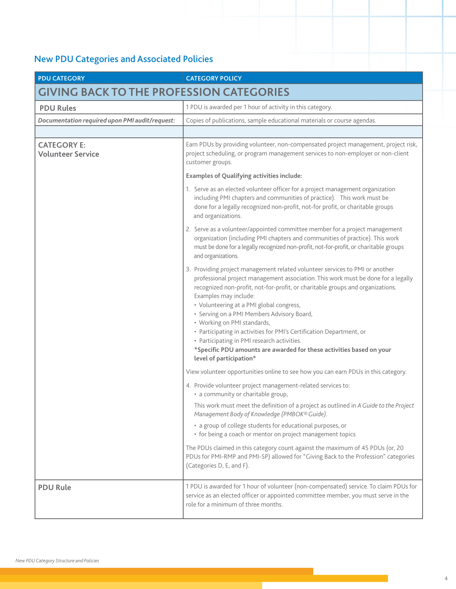| <b>PDU CATEGORY</b>                             | <b>CATEGORY POLICY</b>                                                                                                                                                                                                                                                                                                                                                                                                                                                                                                                                                                                                          |  |  |  |
|-------------------------------------------------|---------------------------------------------------------------------------------------------------------------------------------------------------------------------------------------------------------------------------------------------------------------------------------------------------------------------------------------------------------------------------------------------------------------------------------------------------------------------------------------------------------------------------------------------------------------------------------------------------------------------------------|--|--|--|
| <b>GIVING BACK TO THE PROFESSION CATEGORIES</b> |                                                                                                                                                                                                                                                                                                                                                                                                                                                                                                                                                                                                                                 |  |  |  |
| <b>PDU Rules</b>                                | 1 PDU is awarded per 1 hour of activity in this category.                                                                                                                                                                                                                                                                                                                                                                                                                                                                                                                                                                       |  |  |  |
| Documentation required upon PMI audit/request:  | Copies of publications, sample educational materials or course agendas.                                                                                                                                                                                                                                                                                                                                                                                                                                                                                                                                                         |  |  |  |
|                                                 |                                                                                                                                                                                                                                                                                                                                                                                                                                                                                                                                                                                                                                 |  |  |  |
| <b>CATEGORY E:</b><br><b>Volunteer Service</b>  | Earn PDUs by providing volunteer, non-compensated project management, project risk,<br>project scheduling, or program management services to non-employer or non-client<br>customer groups.                                                                                                                                                                                                                                                                                                                                                                                                                                     |  |  |  |
|                                                 | <b>Examples of Qualifying activities include:</b>                                                                                                                                                                                                                                                                                                                                                                                                                                                                                                                                                                               |  |  |  |
|                                                 | 1. Serve as an elected volunteer officer for a project management organization<br>including PMI chapters and communities of practice). This work must be<br>done for a legally recognized non-profit, not-for profit, or charitable groups<br>and organizations.                                                                                                                                                                                                                                                                                                                                                                |  |  |  |
|                                                 | 2. Serve as a volunteer/appointed committee member for a project management<br>organization (including PMI chapters and communities of practice). This work<br>must be done for a legally recognized non-profit, not-for-profit, or charitable groups<br>and organizations.                                                                                                                                                                                                                                                                                                                                                     |  |  |  |
|                                                 | 3. Providing project management related volunteer services to PMI or another<br>professional project management association. This work must be done for a legally<br>recognized non-profit, not-for-profit, or charitable groups and organizations.<br>Examples may include:<br>• Volunteering at a PMI global congress,<br>· Serving on a PMI Members Advisory Board,<br>• Working on PMI standards,<br>• Participating in activities for PMI's Certification Department, or<br>• Participating in PMI research activities.<br>*Specific PDU amounts are awarded for these activities based on your<br>level of participation* |  |  |  |
|                                                 | View volunteer opportunities online to see how you can earn PDUs in this category.                                                                                                                                                                                                                                                                                                                                                                                                                                                                                                                                              |  |  |  |
|                                                 | 4. Provide volunteer project management-related services to:<br>• a community or charitable group,                                                                                                                                                                                                                                                                                                                                                                                                                                                                                                                              |  |  |  |
|                                                 | This work must meet the definition of a project as outlined in A Guide to the Project<br>Management Body of Knowledge (PMBOK® Guide).                                                                                                                                                                                                                                                                                                                                                                                                                                                                                           |  |  |  |
|                                                 | • a group of college students for educational purposes, or<br>• for being a coach or mentor on project management topics                                                                                                                                                                                                                                                                                                                                                                                                                                                                                                        |  |  |  |
|                                                 | The PDUs claimed in this category count against the maximum of 45 PDUs (or, 20<br>PDUs for PMI-RMP and PMI-SP) allowed for "Giving Back to the Profession" categories<br>(Categories D, E, and F).                                                                                                                                                                                                                                                                                                                                                                                                                              |  |  |  |
| <b>PDU Rule</b>                                 | 1 PDU is awarded for 1 hour of volunteer (non-compensated) service. To claim PDUs for<br>service as an elected officer or appointed committee member, you must serve in the<br>role for a minimum of three months.                                                                                                                                                                                                                                                                                                                                                                                                              |  |  |  |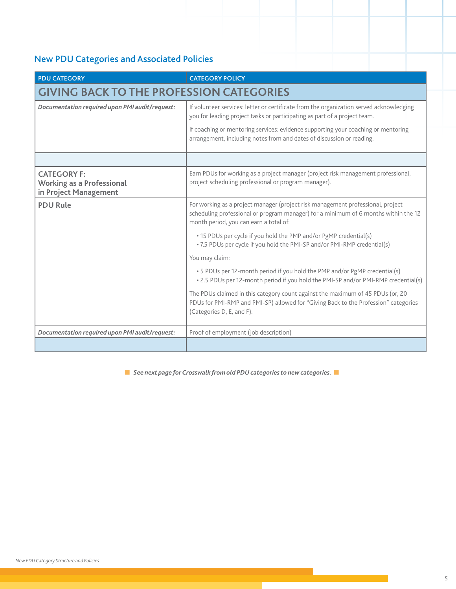| <b>PDU CATEGORY</b>                                                             | <b>CATEGORY POLICY</b>                                                                                                                                                                                           |  |  |
|---------------------------------------------------------------------------------|------------------------------------------------------------------------------------------------------------------------------------------------------------------------------------------------------------------|--|--|
| <b>GIVING BACK TO THE PROFESSION CATEGORIES</b>                                 |                                                                                                                                                                                                                  |  |  |
| Documentation required upon PMI audit/request:                                  | If volunteer services: letter or certificate from the organization served acknowledging<br>you for leading project tasks or participating as part of a project team.                                             |  |  |
|                                                                                 | If coaching or mentoring services: evidence supporting your coaching or mentoring<br>arrangement, including notes from and dates of discussion or reading.                                                       |  |  |
|                                                                                 |                                                                                                                                                                                                                  |  |  |
| <b>CATEGORY F:</b><br><b>Working as a Professional</b><br>in Project Management | Earn PDUs for working as a project manager (project risk management professional,<br>project scheduling professional or program manager).                                                                        |  |  |
| <b>PDU Rule</b>                                                                 | For working as a project manager (project risk management professional, project<br>scheduling professional or program manager) for a minimum of 6 months within the 12<br>month period, you can earn a total of: |  |  |
|                                                                                 | • 15 PDUs per cycle if you hold the PMP and/or PgMP credential(s)<br>. 7.5 PDUs per cycle if you hold the PMI-SP and/or PMI-RMP credential(s)                                                                    |  |  |
|                                                                                 | You may claim:                                                                                                                                                                                                   |  |  |
|                                                                                 | • 5 PDUs per 12-month period if you hold the PMP and/or PgMP credential(s)<br>. 2.5 PDUs per 12-month period if you hold the PMI-SP and/or PMI-RMP credential(s)                                                 |  |  |
|                                                                                 | The PDUs claimed in this category count against the maximum of 45 PDUs (or, 20<br>PDUs for PMI-RMP and PMI-SP) allowed for "Giving Back to the Profession" categories<br>(Categories D, E, and F).               |  |  |
| Documentation required upon PMI audit/request:                                  | Proof of employment (job description)                                                                                                                                                                            |  |  |
|                                                                                 |                                                                                                                                                                                                                  |  |  |

**n** *See next page for Crosswalk from old PDU categories to new categories.*